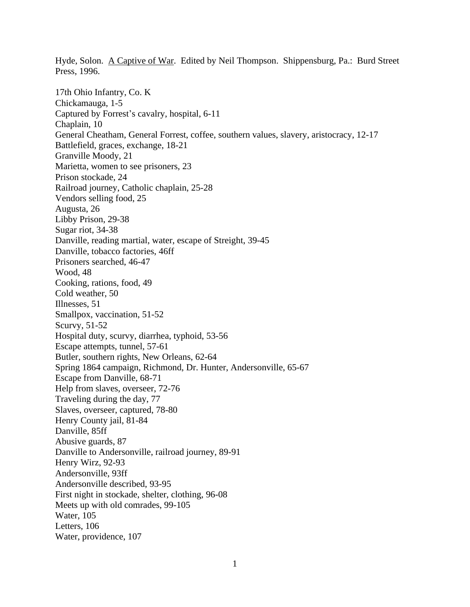Hyde, Solon. A Captive of War. Edited by Neil Thompson. Shippensburg, Pa.: Burd Street Press, 1996.

17th Ohio Infantry, Co. K Chickamauga, 1-5 Captured by Forrest's cavalry, hospital, 6-11 Chaplain, 10 General Cheatham, General Forrest, coffee, southern values, slavery, aristocracy, 12-17 Battlefield, graces, exchange, 18-21 Granville Moody, 21 Marietta, women to see prisoners, 23 Prison stockade, 24 Railroad journey, Catholic chaplain, 25-28 Vendors selling food, 25 Augusta, 26 Libby Prison, 29-38 Sugar riot, 34-38 Danville, reading martial, water, escape of Streight, 39-45 Danville, tobacco factories, 46ff Prisoners searched, 46-47 Wood, 48 Cooking, rations, food, 49 Cold weather, 50 Illnesses, 51 Smallpox, vaccination, 51-52 Scurvy, 51-52 Hospital duty, scurvy, diarrhea, typhoid, 53-56 Escape attempts, tunnel, 57-61 Butler, southern rights, New Orleans, 62-64 Spring 1864 campaign, Richmond, Dr. Hunter, Andersonville, 65-67 Escape from Danville, 68-71 Help from slaves, overseer, 72-76 Traveling during the day, 77 Slaves, overseer, captured, 78-80 Henry County jail, 81-84 Danville, 85ff Abusive guards, 87 Danville to Andersonville, railroad journey, 89-91 Henry Wirz, 92-93 Andersonville, 93ff Andersonville described, 93-95 First night in stockade, shelter, clothing, 96-08 Meets up with old comrades, 99-105 Water, 105 Letters, 106 Water, providence, 107